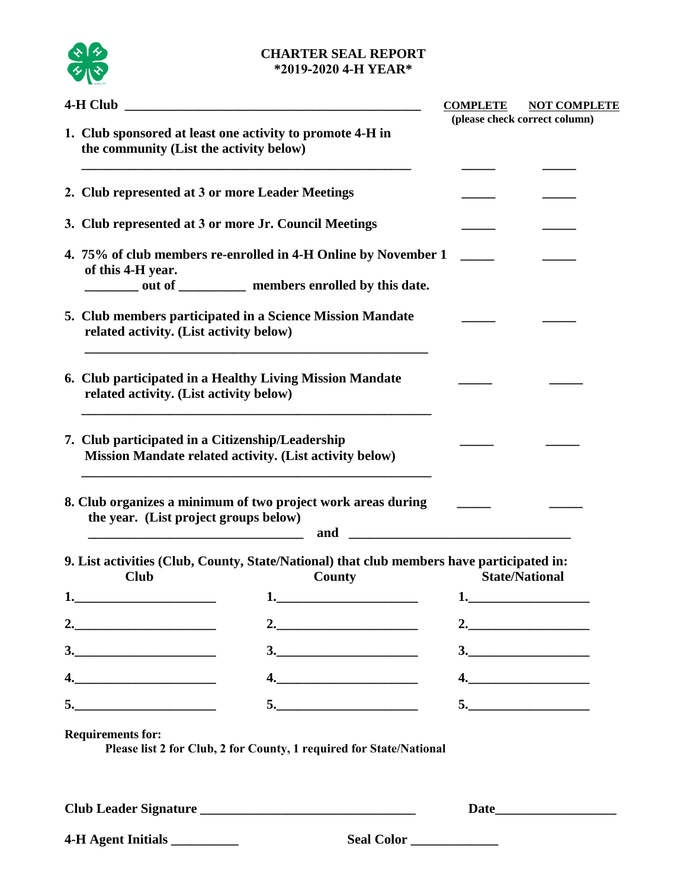

### **CHARTER SEAL REPORT \*2019-2020 4-H YEAR\***

| 4-H Club<br><u> 1989 - Johann Barn, mars ar breithinn ar chuid ann an t-Alban ann an t-Alban ann an t-Alban ann an t-Alban an</u> |                                                                                                                                                                                                                                      | <b>COMPLETE</b> | <b>NOT COMPLETE</b>                                 |
|-----------------------------------------------------------------------------------------------------------------------------------|--------------------------------------------------------------------------------------------------------------------------------------------------------------------------------------------------------------------------------------|-----------------|-----------------------------------------------------|
|                                                                                                                                   | 1. Club sponsored at least one activity to promote 4-H in<br>the community (List the activity below)                                                                                                                                 |                 | (please check correct column)                       |
|                                                                                                                                   | 2. Club represented at 3 or more Leader Meetings                                                                                                                                                                                     |                 |                                                     |
|                                                                                                                                   | 3. Club represented at 3 or more Jr. Council Meetings                                                                                                                                                                                |                 |                                                     |
|                                                                                                                                   | 4. 75% of club members re-enrolled in 4-H Online by November 1<br>of this 4-H year.<br>out of _______ members enrolled by this date.                                                                                                 |                 |                                                     |
|                                                                                                                                   | 5. Club members participated in a Science Mission Mandate<br>related activity. (List activity below)                                                                                                                                 |                 |                                                     |
|                                                                                                                                   | 6. Club participated in a Healthy Living Mission Mandate<br>related activity. (List activity below)                                                                                                                                  |                 |                                                     |
|                                                                                                                                   | 7. Club participated in a Citizenship/Leadership<br>Mission Mandate related activity. (List activity below)                                                                                                                          |                 |                                                     |
|                                                                                                                                   | 8. Club organizes a minimum of two project work areas during<br>the year. (List project groups below)<br>and<br><u> 1989 - Johann Stein, mars an deutscher Stein und der Stein und der Stein und der Stein und der Stein und der</u> |                 |                                                     |
|                                                                                                                                   | 9. List activities (Club, County, State/National) that club members have participated in:<br>County<br><b>Club</b>                                                                                                                   |                 | <b>State/National</b>                               |
| 1.                                                                                                                                | $\mathbf{1.}$                                                                                                                                                                                                                        | 1.              |                                                     |
|                                                                                                                                   |                                                                                                                                                                                                                                      |                 | 2. $\overline{\phantom{a} \phantom{a} \phantom{a}}$ |
|                                                                                                                                   | $\begin{array}{c}\n3.\n\end{array}$                                                                                                                                                                                                  |                 | $\begin{array}{c}\n3.\n\end{array}$                 |
|                                                                                                                                   | 4.                                                                                                                                                                                                                                   |                 | 4.                                                  |
|                                                                                                                                   | 5.                                                                                                                                                                                                                                   |                 |                                                     |
|                                                                                                                                   | <b>Requirements for:</b><br>Please list 2 for Club, 2 for County, 1 required for State/National                                                                                                                                      |                 |                                                     |
|                                                                                                                                   |                                                                                                                                                                                                                                      |                 | Date                                                |
|                                                                                                                                   | 4-H Agent Initials<br>Seal Color                                                                                                                                                                                                     |                 |                                                     |